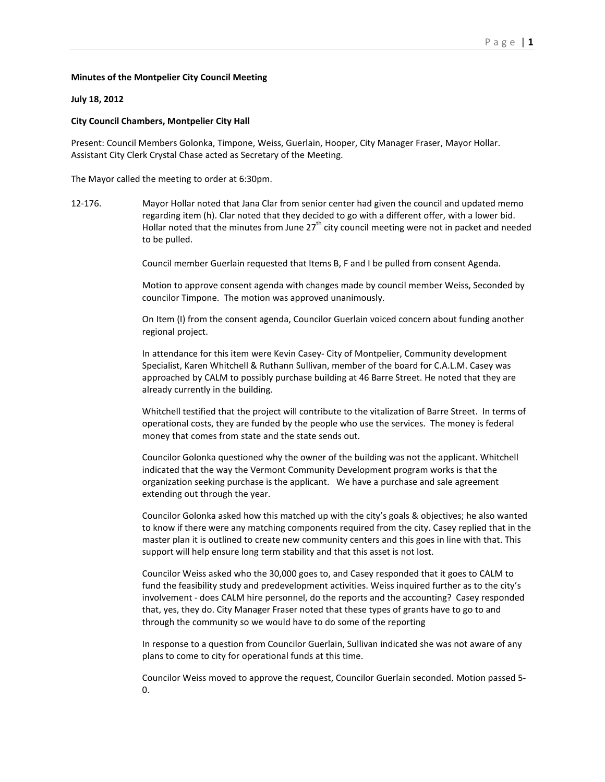## **Minutes of the Montpelier City Council Meeting**

## **July 18, 2012**

## **City Council Chambers, Montpelier City Hall**

Present: Council Members Golonka, Timpone, Weiss, Guerlain, Hooper, City Manager Fraser, Mayor Hollar. Assistant City Clerk Crystal Chase acted as Secretary of the Meeting.

The Mayor called the meeting to order at 6:30pm.

12-176. Mayor Hollar noted that Jana Clar from senior center had given the council and updated memo regarding item (h). Clar noted that they decided to go with a different offer, with a lower bid. Hollar noted that the minutes from June  $27<sup>th</sup>$  city council meeting were not in packet and needed to be pulled.

Council member Guerlain requested that Items B, F and I be pulled from consent Agenda.

Motion to approve consent agenda with changes made by council member Weiss, Seconded by councilor Timpone. The motion was approved unanimously.

On Item (I) from the consent agenda, Councilor Guerlain voiced concern about funding another regional project.

In attendance for this item were Kevin Casey- City of Montpelier, Community development Specialist, Karen Whitchell & Ruthann Sullivan, member of the board for C.A.L.M. Casey was approached by CALM to possibly purchase building at 46 Barre Street. He noted that they are already currently in the building.

Whitchell testified that the project will contribute to the vitalization of Barre Street. In terms of operational costs, they are funded by the people who use the services. The money is federal money that comes from state and the state sends out.

Councilor Golonka questioned why the owner of the building was not the applicant. Whitchell indicated that the way the Vermont Community Development program works is that the organization seeking purchase is the applicant. We have a purchase and sale agreement extending out through the year.

Councilor Golonka asked how this matched up with the city's goals & objectives; he also wanted to know if there were any matching components required from the city. Casey replied that in the master plan it is outlined to create new community centers and this goes in line with that. This support will help ensure long term stability and that this asset is not lost.

Councilor Weiss asked who the 30,000 goes to, and Casey responded that it goes to CALM to fund the feasibility study and predevelopment activities. Weiss inquired further as to the city's involvement - does CALM hire personnel, do the reports and the accounting? Casey responded that, yes, they do. City Manager Fraser noted that these types of grants have to go to and through the community so we would have to do some of the reporting

In response to a question from Councilor Guerlain, Sullivan indicated she was not aware of any plans to come to city for operational funds at this time.

Councilor Weiss moved to approve the request, Councilor Guerlain seconded. Motion passed 5- 0.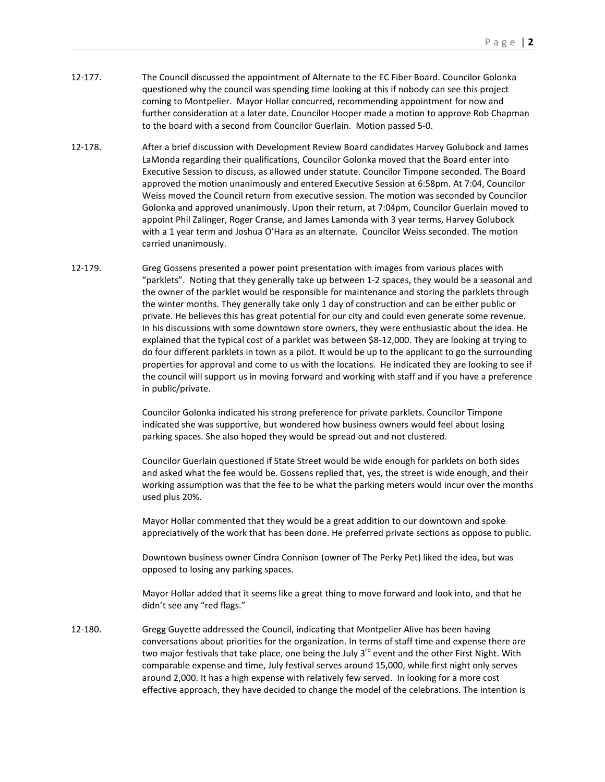- 12-177. The Council discussed the appointment of Alternate to the EC Fiber Board. Councilor Golonka questioned why the council was spending time looking at this if nobody can see this project coming to Montpelier. Mayor Hollar concurred, recommending appointment for now and further consideration at a later date. Councilor Hooper made a motion to approve Rob Chapman to the board with a second from Councilor Guerlain. Motion passed 5-0.
- 12-178. After a brief discussion with Development Review Board candidates Harvey Golubock and James LaMonda regarding their qualifications, Councilor Golonka moved that the Board enter into Executive Session to discuss, as allowed under statute. Councilor Timpone seconded. The Board approved the motion unanimously and entered Executive Session at 6:58pm. At 7:04, Councilor Weiss moved the Council return from executive session. The motion was seconded by Councilor Golonka and approved unanimously. Upon their return, at 7:04pm, Councilor Guerlain moved to appoint Phil Zalinger, Roger Cranse, and James Lamonda with 3 year terms, Harvey Golubock with a 1 year term and Joshua O'Hara as an alternate. Councilor Weiss seconded. The motion carried unanimously.
- 12-179. Greg Gossens presented a power point presentation with images from various places with "parklets". Noting that they generally take up between 1-2 spaces, they would be a seasonal and the owner of the parklet would be responsible for maintenance and storing the parklets through the winter months. They generally take only 1 day of construction and can be either public or private. He believes this has great potential for our city and could even generate some revenue. In his discussions with some downtown store owners, they were enthusiastic about the idea. He explained that the typical cost of a parklet was between \$8-12,000. They are looking at trying to do four different parklets in town as a pilot. It would be up to the applicant to go the surrounding properties for approval and come to us with the locations. He indicated they are looking to see if the council will support us in moving forward and working with staff and if you have a preference in public/private.

Councilor Golonka indicated his strong preference for private parklets. Councilor Timpone indicated she was supportive, but wondered how business owners would feel about losing parking spaces. She also hoped they would be spread out and not clustered.

Councilor Guerlain questioned if State Street would be wide enough for parklets on both sides and asked what the fee would be. Gossens replied that, yes, the street is wide enough, and their working assumption was that the fee to be what the parking meters would incur over the months used plus 20%.

Mayor Hollar commented that they would be a great addition to our downtown and spoke appreciatively of the work that has been done. He preferred private sections as oppose to public.

Downtown business owner Cindra Connison (owner of The Perky Pet) liked the idea, but was opposed to losing any parking spaces.

Mayor Hollar added that it seems like a great thing to move forward and look into, and that he didn't see any "red flags."

12-180. Gregg Guyette addressed the Council, indicating that Montpelier Alive has been having conversations about priorities for the organization. In terms of staff time and expense there are two major festivals that take place, one being the July 3<sup>rd</sup> event and the other First Night. With comparable expense and time, July festival serves around 15,000, while first night only serves around 2,000. It has a high expense with relatively few served. In looking for a more cost effective approach, they have decided to change the model of the celebrations. The intention is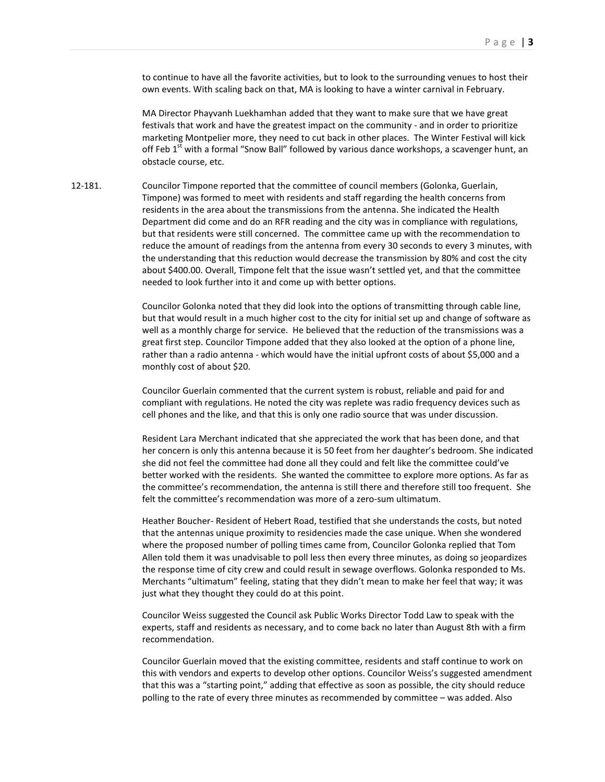to continue to have all the favorite activities, but to look to the surrounding venues to host their own events. With scaling back on that, MA is looking to have a winter carnival in February.

MA Director Phayvanh Luekhamhan added that they want to make sure that we have great festivals that work and have the greatest impact on the community - and in order to prioritize marketing Montpelier more, they need to cut back in other places. The Winter Festival will kick off Feb  $1<sup>st</sup>$  with a formal "Snow Ball" followed by various dance workshops, a scavenger hunt, an obstacle course, etc.

12-181. Councilor Timpone reported that the committee of council members (Golonka, Guerlain, Timpone) was formed to meet with residents and staff regarding the health concerns from residents in the area about the transmissions from the antenna. She indicated the Health Department did come and do an RFR reading and the city was in compliance with regulations, but that residents were still concerned. The committee came up with the recommendation to reduce the amount of readings from the antenna from every 30 seconds to every 3 minutes, with the understanding that this reduction would decrease the transmission by 80% and cost the city about \$400.00. Overall, Timpone felt that the issue wasn't settled yet, and that the committee needed to look further into it and come up with better options.

> Councilor Golonka noted that they did look into the options of transmitting through cable line, but that would result in a much higher cost to the city for initial set up and change of software as well as a monthly charge for service. He believed that the reduction of the transmissions was a great first step. Councilor Timpone added that they also looked at the option of a phone line, rather than a radio antenna - which would have the initial upfront costs of about \$5,000 and a monthly cost of about \$20.

Councilor Guerlain commented that the current system is robust, reliable and paid for and compliant with regulations. He noted the city was replete was radio frequency devices such as cell phones and the like, and that this is only one radio source that was under discussion.

Resident Lara Merchant indicated that she appreciated the work that has been done, and that her concern is only this antenna because it is 50 feet from her daughter's bedroom. She indicated she did not feel the committee had done all they could and felt like the committee could've better worked with the residents. She wanted the committee to explore more options. As far as the committee's recommendation, the antenna is still there and therefore still too frequent. She felt the committee's recommendation was more of a zero-sum ultimatum.

Heather Boucher- Resident of Hebert Road, testified that she understands the costs, but noted that the antennas unique proximity to residencies made the case unique. When she wondered where the proposed number of polling times came from, Councilor Golonka replied that Tom Allen told them it was unadvisable to poll less then every three minutes, as doing so jeopardizes the response time of city crew and could result in sewage overflows. Golonka responded to Ms. Merchants "ultimatum" feeling, stating that they didn't mean to make her feel that way; it was just what they thought they could do at this point.

Councilor Weiss suggested the Council ask Public Works Director Todd Law to speak with the experts, staff and residents as necessary, and to come back no later than August 8th with a firm recommendation.

Councilor Guerlain moved that the existing committee, residents and staff continue to work on this with vendors and experts to develop other options. Councilor Weiss's suggested amendment that this was a "starting point," adding that effective as soon as possible, the city should reduce polling to the rate of every three minutes as recommended by committee – was added. Also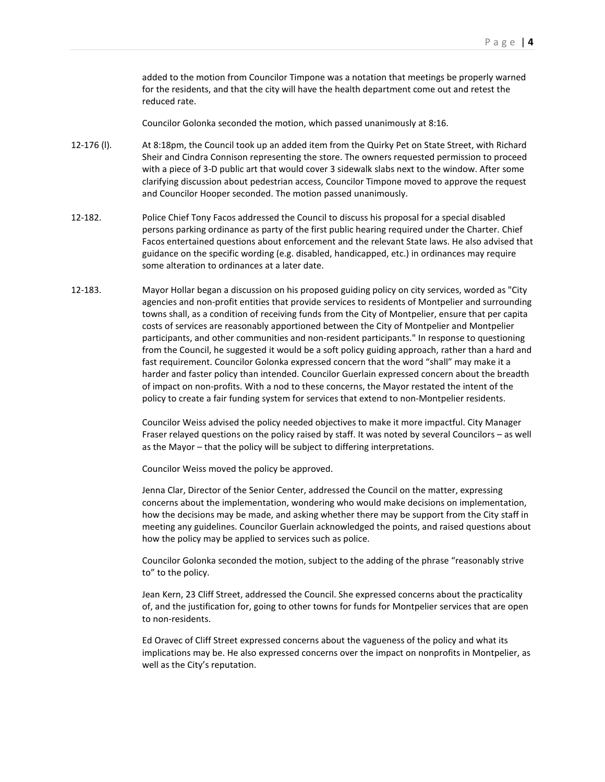added to the motion from Councilor Timpone was a notation that meetings be properly warned for the residents, and that the city will have the health department come out and retest the reduced rate.

Councilor Golonka seconded the motion, which passed unanimously at 8:16.

- 12-176 (l). At 8:18pm, the Council took up an added item from the Quirky Pet on State Street, with Richard Sheir and Cindra Connison representing the store. The owners requested permission to proceed with a piece of 3-D public art that would cover 3 sidewalk slabs next to the window. After some clarifying discussion about pedestrian access, Councilor Timpone moved to approve the request and Councilor Hooper seconded. The motion passed unanimously.
- 12-182. Police Chief Tony Facos addressed the Council to discuss his proposal for a special disabled persons parking ordinance as party of the first public hearing required under the Charter. Chief Facos entertained questions about enforcement and the relevant State laws. He also advised that guidance on the specific wording (e.g. disabled, handicapped, etc.) in ordinances may require some alteration to ordinances at a later date.
- 12-183. Mayor Hollar began a discussion on his proposed guiding policy on city services, worded as "City agencies and non-profit entities that provide services to residents of Montpelier and surrounding towns shall, as a condition of receiving funds from the City of Montpelier, ensure that per capita costs of services are reasonably apportioned between the City of Montpelier and Montpelier participants, and other communities and non-resident participants." In response to questioning from the Council, he suggested it would be a soft policy guiding approach, rather than a hard and fast requirement. Councilor Golonka expressed concern that the word "shall" may make it a harder and faster policy than intended. Councilor Guerlain expressed concern about the breadth of impact on non-profits. With a nod to these concerns, the Mayor restated the intent of the policy to create a fair funding system for services that extend to non-Montpelier residents.

Councilor Weiss advised the policy needed objectives to make it more impactful. City Manager Fraser relayed questions on the policy raised by staff. It was noted by several Councilors – as well as the Mayor – that the policy will be subject to differing interpretations.

Councilor Weiss moved the policy be approved.

Jenna Clar, Director of the Senior Center, addressed the Council on the matter, expressing concerns about the implementation, wondering who would make decisions on implementation, how the decisions may be made, and asking whether there may be support from the City staff in meeting any guidelines. Councilor Guerlain acknowledged the points, and raised questions about how the policy may be applied to services such as police.

Councilor Golonka seconded the motion, subject to the adding of the phrase "reasonably strive to" to the policy.

Jean Kern, 23 Cliff Street, addressed the Council. She expressed concerns about the practicality of, and the justification for, going to other towns for funds for Montpelier services that are open to non-residents.

Ed Oravec of Cliff Street expressed concerns about the vagueness of the policy and what its implications may be. He also expressed concerns over the impact on nonprofits in Montpelier, as well as the City's reputation.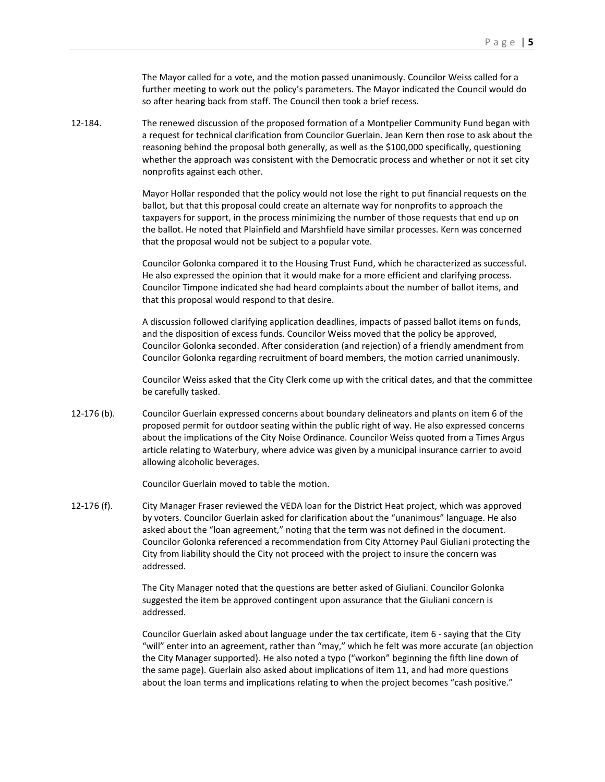The Mayor called for a vote, and the motion passed unanimously. Councilor Weiss called for a further meeting to work out the policy's parameters. The Mayor indicated the Council would do so after hearing back from staff. The Council then took a brief recess.

12-184. The renewed discussion of the proposed formation of a Montpelier Community Fund began with a request for technical clarification from Councilor Guerlain. Jean Kern then rose to ask about the reasoning behind the proposal both generally, as well as the \$100,000 specifically, questioning whether the approach was consistent with the Democratic process and whether or not it set city nonprofits against each other.

> Mayor Hollar responded that the policy would not lose the right to put financial requests on the ballot, but that this proposal could create an alternate way for nonprofits to approach the taxpayers for support, in the process minimizing the number of those requests that end up on the ballot. He noted that Plainfield and Marshfield have similar processes. Kern was concerned that the proposal would not be subject to a popular vote.

> Councilor Golonka compared it to the Housing Trust Fund, which he characterized as successful. He also expressed the opinion that it would make for a more efficient and clarifying process. Councilor Timpone indicated she had heard complaints about the number of ballot items, and that this proposal would respond to that desire.

> A discussion followed clarifying application deadlines, impacts of passed ballot items on funds, and the disposition of excess funds. Councilor Weiss moved that the policy be approved, Councilor Golonka seconded. After consideration (and rejection) of a friendly amendment from Councilor Golonka regarding recruitment of board members, the motion carried unanimously.

Councilor Weiss asked that the City Clerk come up with the critical dates, and that the committee be carefully tasked.

12-176 (b). Councilor Guerlain expressed concerns about boundary delineators and plants on item 6 of the proposed permit for outdoor seating within the public right of way. He also expressed concerns about the implications of the City Noise Ordinance. Councilor Weiss quoted from a Times Argus article relating to Waterbury, where advice was given by a municipal insurance carrier to avoid allowing alcoholic beverages.

Councilor Guerlain moved to table the motion.

12-176 (f). City Manager Fraser reviewed the VEDA loan for the District Heat project, which was approved by voters. Councilor Guerlain asked for clarification about the "unanimous" language. He also asked about the "loan agreement," noting that the term was not defined in the document. Councilor Golonka referenced a recommendation from City Attorney Paul Giuliani protecting the City from liability should the City not proceed with the project to insure the concern was addressed.

> The City Manager noted that the questions are better asked of Giuliani. Councilor Golonka suggested the item be approved contingent upon assurance that the Giuliani concern is addressed.

Councilor Guerlain asked about language under the tax certificate, item 6 - saying that the City "will" enter into an agreement, rather than "may," which he felt was more accurate (an objection the City Manager supported). He also noted a typo ("workon" beginning the fifth line down of the same page). Guerlain also asked about implications of item 11, and had more questions about the loan terms and implications relating to when the project becomes "cash positive."